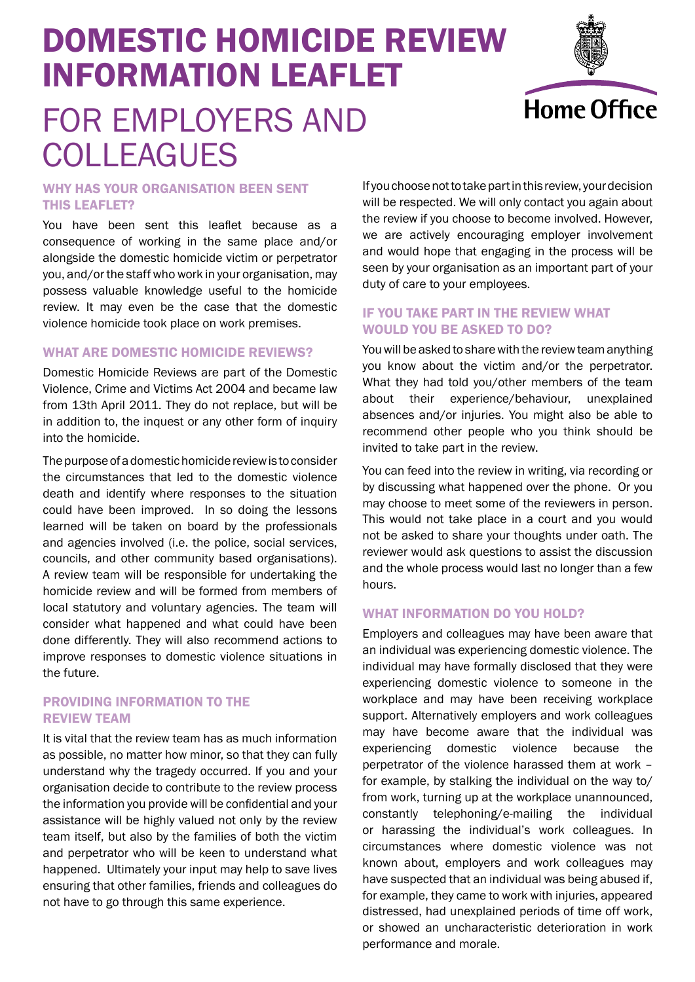# DOMESTIC HOMICIDE REVIEW INFORMATION LEAFLET FOR EMPLOYERS AND



## WHY HAS YOUR ORGANISATION BEEN SENT THIS LEAFLET?

**COLLEAGUES** 

You have been sent this leaflet because as a consequence of working in the same place and/or alongside the domestic homicide victim or perpetrator you, and/or the staff who work in your organisation, may possess valuable knowledge useful to the homicide review. It may even be the case that the domestic violence homicide took place on work premises.

### WHAT ARE DOMESTIC HOMICIDE REVIEWS?

Domestic Homicide Reviews are part of the Domestic Violence, Crime and Victims Act 2004 and became law from 13th April 2011. They do not replace, but will be in addition to, the inquest or any other form of inquiry into the homicide.

The purpose of a domestic homicide review is to consider the circumstances that led to the domestic violence death and identify where responses to the situation could have been improved. In so doing the lessons learned will be taken on board by the professionals and agencies involved (i.e. the police, social services, councils, and other community based organisations). A review team will be responsible for undertaking the homicide review and will be formed from members of local statutory and voluntary agencies. The team will consider what happened and what could have been done differently. They will also recommend actions to improve responses to domestic violence situations in the future.

#### PROVIDING INFORMATION TO THE REVIEW TEAM

It is vital that the review team has as much information as possible, no matter how minor, so that they can fully understand why the tragedy occurred. If you and your organisation decide to contribute to the review process the information you provide will be confidential and your assistance will be highly valued not only by the review team itself, but also by the families of both the victim and perpetrator who will be keen to understand what happened. Ultimately your input may help to save lives ensuring that other families, friends and colleagues do not have to go through this same experience.

If you choose not to take part in this review, your decision will be respected. We will only contact you again about the review if you choose to become involved. However, we are actively encouraging employer involvement and would hope that engaging in the process will be seen by your organisation as an important part of your duty of care to your employees.

## IF YOU TAKE PART IN THE REVIEW WHAT WOULD YOU BE ASKED TO DO?

You will be asked to share with the review team anything you know about the victim and/or the perpetrator. What they had told you/other members of the team about their experience/behaviour, unexplained absences and/or injuries. You might also be able to recommend other people who you think should be invited to take part in the review.

You can feed into the review in writing, via recording or by discussing what happened over the phone. Or you may choose to meet some of the reviewers in person. This would not take place in a court and you would not be asked to share your thoughts under oath. The reviewer would ask questions to assist the discussion and the whole process would last no longer than a few hours.

#### WHAT INFORMATION DO YOU HOLD?

Employers and colleagues may have been aware that an individual was experiencing domestic violence. The individual may have formally disclosed that they were experiencing domestic violence to someone in the workplace and may have been receiving workplace support. Alternatively employers and work colleagues may have become aware that the individual was experiencing domestic violence because the perpetrator of the violence harassed them at work – for example, by stalking the individual on the way to/ from work, turning up at the workplace unannounced, constantly telephoning/e-mailing the individual or harassing the individual's work colleagues. In circumstances where domestic violence was not known about, employers and work colleagues may have suspected that an individual was being abused if, for example, they came to work with injuries, appeared distressed, had unexplained periods of time off work, or showed an uncharacteristic deterioration in work performance and morale.